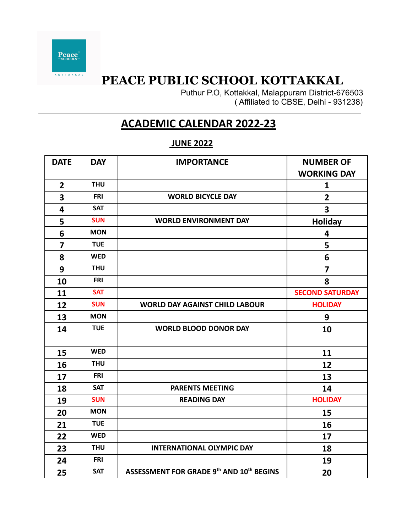

**KOTTAKKAL** 

# **PEACE PUBLIC SCHOOL KOTTAKKAL**

Puthur P.O, Kottakkal, Malappuram District-676503 ( Affiliated to CBSE, Delhi - 931238)

## **ACADEMIC CALENDAR 2022-23**

## **JUNE 2022**

| <b>DATE</b>             | <b>DAY</b> | <b>IMPORTANCE</b>                        | <b>NUMBER OF</b>       |
|-------------------------|------------|------------------------------------------|------------------------|
|                         |            |                                          | <b>WORKING DAY</b>     |
| $\overline{2}$          | <b>THU</b> |                                          | 1                      |
| 3                       | <b>FRI</b> | <b>WORLD BICYCLE DAY</b>                 | $\overline{2}$         |
| 4                       | <b>SAT</b> |                                          | 3                      |
| 5                       | <b>SUN</b> | <b>WORLD ENVIRONMENT DAY</b>             | <b>Holiday</b>         |
| 6                       | <b>MON</b> |                                          | 4                      |
| $\overline{\mathbf{z}}$ | <b>TUE</b> |                                          | 5                      |
| 8                       | <b>WED</b> |                                          | 6                      |
| 9                       | <b>THU</b> |                                          | $\overline{7}$         |
| 10                      | <b>FRI</b> |                                          | 8                      |
| 11                      | <b>SAT</b> |                                          | <b>SECOND SATURDAY</b> |
| 12                      | <b>SUN</b> | <b>WORLD DAY AGAINST CHILD LABOUR</b>    | <b>HOLIDAY</b>         |
| 13                      | <b>MON</b> |                                          | 9                      |
| 14                      | <b>TUE</b> | <b>WORLD BLOOD DONOR DAY</b>             | 10                     |
| 15                      | <b>WED</b> |                                          | 11                     |
| 16                      | <b>THU</b> |                                          | 12                     |
| 17                      | <b>FRI</b> |                                          | 13                     |
| 18                      | <b>SAT</b> | <b>PARENTS MEETING</b>                   | 14                     |
| 19                      | <b>SUN</b> | <b>READING DAY</b>                       | <b>HOLIDAY</b>         |
| 20                      | <b>MON</b> |                                          | 15                     |
| 21                      | <b>TUE</b> |                                          | 16                     |
| 22                      | <b>WED</b> |                                          | 17                     |
| 23                      | <b>THU</b> | <b>INTERNATIONAL OLYMPIC DAY</b>         | 18                     |
| 24                      | <b>FRI</b> |                                          | 19                     |
| 25                      | <b>SAT</b> | ASSESSMENT FOR GRADE 9th AND 10th BEGINS | 20                     |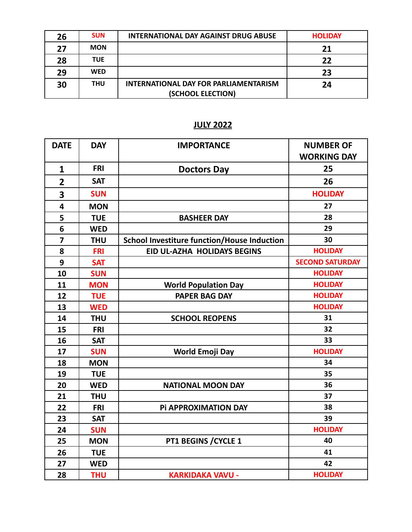| 26 | <b>SUN</b> | <b>INTERNATIONAL DAY AGAINST DRUG ABUSE</b> | <b>HOLIDAY</b> |
|----|------------|---------------------------------------------|----------------|
| 27 | <b>MON</b> |                                             | 21             |
| 28 | <b>TUE</b> |                                             | 22             |
| 29 | <b>WED</b> |                                             | 23             |
| 30 | <b>THU</b> | INTERNATIONAL DAY FOR PARLIAMENTARISM       | 24             |
|    |            | (SCHOOL ELECTION)                           |                |

### **JULY 2022**

| <b>DATE</b>             | <b>DAY</b> | <b>IMPORTANCE</b>                                  | <b>NUMBER OF</b>       |
|-------------------------|------------|----------------------------------------------------|------------------------|
|                         |            |                                                    | <b>WORKING DAY</b>     |
| $\mathbf{1}$            | <b>FRI</b> | <b>Doctors Day</b>                                 | 25                     |
| $\overline{2}$          | <b>SAT</b> |                                                    | 26                     |
| 3                       | <b>SUN</b> |                                                    | <b>HOLIDAY</b>         |
| $\overline{\mathbf{4}}$ | <b>MON</b> |                                                    | 27                     |
| 5                       | <b>TUE</b> | <b>BASHEER DAY</b>                                 | 28                     |
| $6\phantom{1}$          | <b>WED</b> |                                                    | 29                     |
| $\overline{\mathbf{z}}$ | <b>THU</b> | <b>School Investiture function/House Induction</b> | 30                     |
| 8                       | <b>FRI</b> | EID UL-AZHA HOLIDAYS BEGINS                        | <b>HOLIDAY</b>         |
| 9                       | <b>SAT</b> |                                                    | <b>SECOND SATURDAY</b> |
| 10                      | <b>SUN</b> |                                                    | <b>HOLIDAY</b>         |
| 11                      | <b>MON</b> | <b>World Population Day</b>                        | <b>HOLIDAY</b>         |
| 12                      | <b>TUE</b> | <b>PAPER BAG DAY</b>                               | <b>HOLIDAY</b>         |
| 13                      | <b>WED</b> |                                                    | <b>HOLIDAY</b>         |
| 14                      | <b>THU</b> | <b>SCHOOL REOPENS</b>                              | 31                     |
| 15                      | <b>FRI</b> |                                                    | 32                     |
| 16                      | <b>SAT</b> |                                                    | 33                     |
| 17                      | <b>SUN</b> | <b>World Emoji Day</b>                             | <b>HOLIDAY</b>         |
| 18                      | <b>MON</b> |                                                    | 34                     |
| 19                      | <b>TUE</b> |                                                    | 35                     |
| 20                      | <b>WED</b> | <b>NATIONAL MOON DAY</b>                           | 36                     |
| 21                      | <b>THU</b> |                                                    | 37                     |
| 22                      | <b>FRI</b> | Pi APPROXIMATION DAY                               | 38                     |
| 23                      | <b>SAT</b> |                                                    | 39                     |
| 24                      | <b>SUN</b> |                                                    | <b>HOLIDAY</b>         |
| 25                      | <b>MON</b> | PT1 BEGINS / CYCLE 1                               | 40                     |
| 26                      | <b>TUE</b> |                                                    | 41                     |
| 27                      | <b>WED</b> |                                                    | 42                     |
| 28                      | <b>THU</b> | <b>KARKIDAKA VAVU -</b>                            | <b>HOLIDAY</b>         |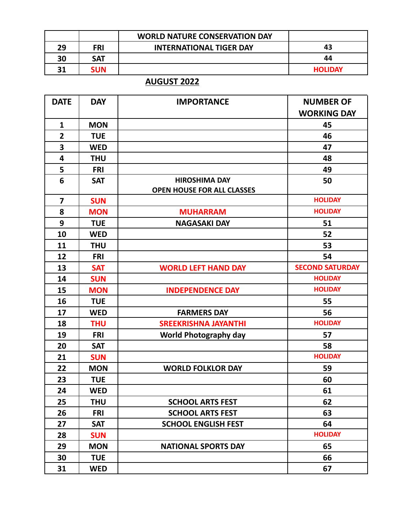|    |            | <b>WORLD NATURE CONSERVATION DAY</b> |                |
|----|------------|--------------------------------------|----------------|
| 29 | <b>FRI</b> | <b>INTERNATIONAL TIGER DAY</b>       | 43             |
| 30 | <b>SAT</b> |                                      | 44             |
| 31 | <b>SUN</b> |                                      | <b>HOLIDAY</b> |

## **AUGUST 2022**

| <b>DATE</b>    | <b>DAY</b> | <b>IMPORTANCE</b>                 | <b>NUMBER OF</b>       |
|----------------|------------|-----------------------------------|------------------------|
|                |            |                                   | <b>WORKING DAY</b>     |
| $\mathbf{1}$   | <b>MON</b> |                                   | 45                     |
| $\overline{2}$ | <b>TUE</b> |                                   | 46                     |
| 3              | <b>WED</b> |                                   | 47                     |
| 4              | <b>THU</b> |                                   | 48                     |
| 5              | <b>FRI</b> |                                   | 49                     |
| 6              | <b>SAT</b> | <b>HIROSHIMA DAY</b>              | 50                     |
|                |            | <b>OPEN HOUSE FOR ALL CLASSES</b> |                        |
| $\overline{7}$ | <b>SUN</b> |                                   | <b>HOLIDAY</b>         |
| 8              | <b>MON</b> | <b>MUHARRAM</b>                   | <b>HOLIDAY</b>         |
| 9              | <b>TUE</b> | <b>NAGASAKI DAY</b>               | 51                     |
| 10             | <b>WED</b> |                                   | 52                     |
| 11             | <b>THU</b> |                                   | 53                     |
| 12             | <b>FRI</b> |                                   | 54                     |
| 13             | <b>SAT</b> | <b>WORLD LEFT HAND DAY</b>        | <b>SECOND SATURDAY</b> |
| 14             | <b>SUN</b> |                                   | <b>HOLIDAY</b>         |
| 15             | <b>MON</b> | <b>INDEPENDENCE DAY</b>           | <b>HOLIDAY</b>         |
| 16             | <b>TUE</b> |                                   | 55                     |
| 17             | <b>WED</b> | <b>FARMERS DAY</b>                | 56                     |
| 18             | <b>THU</b> | <b>SREEKRISHNA JAYANTHI</b>       | <b>HOLIDAY</b>         |
| 19             | <b>FRI</b> | <b>World Photography day</b>      | 57                     |
| 20             | <b>SAT</b> |                                   | 58                     |
| 21             | <b>SUN</b> |                                   | <b>HOLIDAY</b>         |
| 22             | <b>MON</b> | <b>WORLD FOLKLOR DAY</b>          | 59                     |
| 23             | <b>TUE</b> |                                   | 60                     |
| 24             | <b>WED</b> |                                   | 61                     |
| 25             | <b>THU</b> | <b>SCHOOL ARTS FEST</b>           | 62                     |
| 26             | <b>FRI</b> | <b>SCHOOL ARTS FEST</b>           | 63                     |
| 27             | <b>SAT</b> | <b>SCHOOL ENGLISH FEST</b>        | 64                     |
| 28             | <b>SUN</b> |                                   | <b>HOLIDAY</b>         |
| 29             | <b>MON</b> | <b>NATIONAL SPORTS DAY</b>        | 65                     |
| 30             | <b>TUE</b> |                                   | 66                     |
| 31             | <b>WED</b> |                                   | 67                     |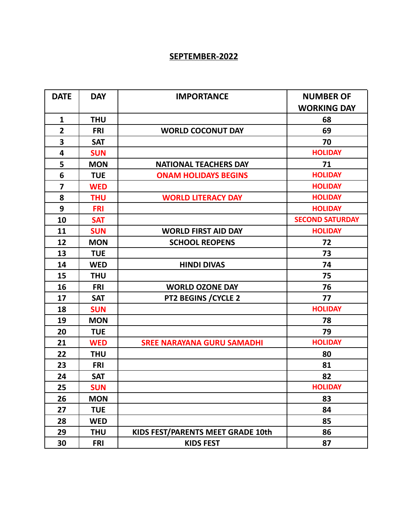#### **SEPTEMBER-2022**

| <b>DATE</b>    | <b>DAY</b> | <b>IMPORTANCE</b>                 | <b>NUMBER OF</b>       |
|----------------|------------|-----------------------------------|------------------------|
|                |            |                                   | <b>WORKING DAY</b>     |
| $\mathbf{1}$   | <b>THU</b> |                                   | 68                     |
| $\overline{2}$ | <b>FRI</b> | <b>WORLD COCONUT DAY</b>          | 69                     |
| 3              | <b>SAT</b> |                                   | 70                     |
| 4              | <b>SUN</b> |                                   | <b>HOLIDAY</b>         |
| 5              | <b>MON</b> | <b>NATIONAL TEACHERS DAY</b>      | 71                     |
| 6              | <b>TUE</b> | <b>ONAM HOLIDAYS BEGINS</b>       | <b>HOLIDAY</b>         |
| $\overline{7}$ | <b>WED</b> |                                   | <b>HOLIDAY</b>         |
| 8              | <b>THU</b> | <b>WORLD LITERACY DAY</b>         | <b>HOLIDAY</b>         |
| 9              | <b>FRI</b> |                                   | <b>HOLIDAY</b>         |
| 10             | <b>SAT</b> |                                   | <b>SECOND SATURDAY</b> |
| 11             | <b>SUN</b> | <b>WORLD FIRST AID DAY</b>        | <b>HOLIDAY</b>         |
| 12             | <b>MON</b> | <b>SCHOOL REOPENS</b>             | 72                     |
| 13             | <b>TUE</b> |                                   | 73                     |
| 14             | <b>WED</b> | <b>HINDI DIVAS</b>                | 74                     |
| 15             | <b>THU</b> |                                   | 75                     |
| 16             | <b>FRI</b> | <b>WORLD OZONE DAY</b>            | 76                     |
| 17             | <b>SAT</b> | PT2 BEGINS / CYCLE 2              | 77                     |
| 18             | <b>SUN</b> |                                   | <b>HOLIDAY</b>         |
| 19             | <b>MON</b> |                                   | 78                     |
| 20             | <b>TUE</b> |                                   | 79                     |
| 21             | <b>WED</b> | <b>SREE NARAYANA GURU SAMADHI</b> | <b>HOLIDAY</b>         |
| 22             | <b>THU</b> |                                   | 80                     |
| 23             | <b>FRI</b> |                                   | 81                     |
| 24             | <b>SAT</b> |                                   | 82                     |
| 25             | <b>SUN</b> |                                   | <b>HOLIDAY</b>         |
| 26             | <b>MON</b> |                                   | 83                     |
| 27             | <b>TUE</b> |                                   | 84                     |
| 28             | <b>WED</b> |                                   | 85                     |
| 29             | <b>THU</b> | KIDS FEST/PARENTS MEET GRADE 10th | 86                     |
| 30             | <b>FRI</b> | <b>KIDS FEST</b>                  | 87                     |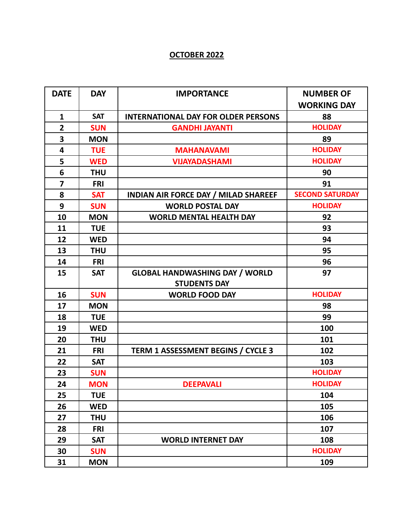#### **OCTOBER 2022**

| <b>DATE</b>    | <b>DAY</b> | <b>IMPORTANCE</b>                           | <b>NUMBER OF</b>       |
|----------------|------------|---------------------------------------------|------------------------|
|                |            |                                             | <b>WORKING DAY</b>     |
| $\mathbf{1}$   | <b>SAT</b> | <b>INTERNATIONAL DAY FOR OLDER PERSONS</b>  | 88                     |
| $\overline{2}$ | <b>SUN</b> | <b>GANDHI JAYANTI</b>                       | <b>HOLIDAY</b>         |
| 3              | <b>MON</b> |                                             | 89                     |
| 4              | <b>TUE</b> | <b>MAHANAVAMI</b>                           | <b>HOLIDAY</b>         |
| 5              | <b>WED</b> | <b>VIJAYADASHAMI</b>                        | <b>HOLIDAY</b>         |
| 6              | <b>THU</b> |                                             | 90                     |
| $\overline{7}$ | <b>FRI</b> |                                             | 91                     |
| 8              | <b>SAT</b> | <b>INDIAN AIR FORCE DAY / MILAD SHAREEF</b> | <b>SECOND SATURDAY</b> |
| 9              | <b>SUN</b> | <b>WORLD POSTAL DAY</b>                     | <b>HOLIDAY</b>         |
| 10             | <b>MON</b> | <b>WORLD MENTAL HEALTH DAY</b>              | 92                     |
| 11             | <b>TUE</b> |                                             | 93                     |
| 12             | <b>WED</b> |                                             | 94                     |
| 13             | <b>THU</b> |                                             | 95                     |
| 14             | <b>FRI</b> |                                             | 96                     |
| 15             | <b>SAT</b> | <b>GLOBAL HANDWASHING DAY / WORLD</b>       | 97                     |
|                |            | <b>STUDENTS DAY</b>                         |                        |
| 16             | <b>SUN</b> | <b>WORLD FOOD DAY</b>                       | <b>HOLIDAY</b>         |
| 17             | <b>MON</b> |                                             | 98                     |
| 18             | <b>TUE</b> |                                             | 99                     |
| 19             | <b>WED</b> |                                             | 100                    |
| 20             | <b>THU</b> |                                             | 101                    |
| 21             | <b>FRI</b> | <b>TERM 1 ASSESSMENT BEGINS / CYCLE 3</b>   | 102                    |
| 22             | <b>SAT</b> |                                             | 103                    |
| 23             | <b>SUN</b> |                                             | <b>HOLIDAY</b>         |
| 24             | <b>MON</b> | <b>DEEPAVALI</b>                            | <b>HOLIDAY</b>         |
| 25             | <b>TUE</b> |                                             | 104                    |
| 26             | <b>WED</b> |                                             | 105                    |
| 27             | <b>THU</b> |                                             | 106                    |
| 28             | <b>FRI</b> |                                             | 107                    |
| 29             | <b>SAT</b> | <b>WORLD INTERNET DAY</b>                   | 108                    |
| 30             | <b>SUN</b> |                                             | <b>HOLIDAY</b>         |
| 31             | <b>MON</b> |                                             | 109                    |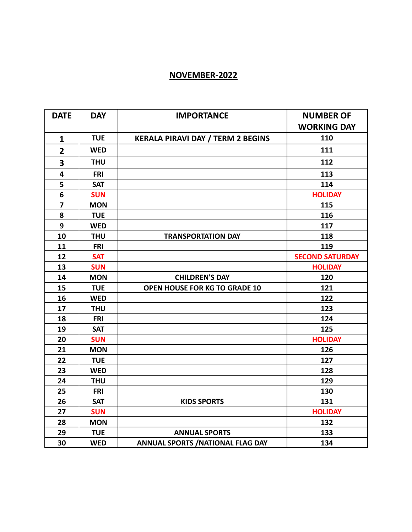## **NOVEMBER-2022**

| <b>DATE</b>             | <b>DAY</b> | <b>IMPORTANCE</b>                        | <b>NUMBER OF</b>       |
|-------------------------|------------|------------------------------------------|------------------------|
|                         |            |                                          | <b>WORKING DAY</b>     |
| $\mathbf{1}$            | <b>TUE</b> | <b>KERALA PIRAVI DAY / TERM 2 BEGINS</b> | 110                    |
| $\overline{2}$          | <b>WED</b> |                                          | 111                    |
| 3                       | <b>THU</b> |                                          | 112                    |
| 4                       | <b>FRI</b> |                                          | 113                    |
| 5                       | <b>SAT</b> |                                          | 114                    |
| 6                       | <b>SUN</b> |                                          | <b>HOLIDAY</b>         |
| $\overline{\mathbf{z}}$ | <b>MON</b> |                                          | 115                    |
| 8                       | <b>TUE</b> |                                          | 116                    |
| 9                       | <b>WED</b> |                                          | 117                    |
| 10                      | <b>THU</b> | <b>TRANSPORTATION DAY</b>                | 118                    |
| 11                      | <b>FRI</b> |                                          | 119                    |
| 12                      | <b>SAT</b> |                                          | <b>SECOND SATURDAY</b> |
| 13                      | <b>SUN</b> |                                          | <b>HOLIDAY</b>         |
| 14                      | <b>MON</b> | <b>CHILDREN'S DAY</b>                    | 120                    |
| 15                      | <b>TUE</b> | <b>OPEN HOUSE FOR KG TO GRADE 10</b>     | 121                    |
| 16                      | <b>WED</b> |                                          | 122                    |
| 17                      | <b>THU</b> |                                          | 123                    |
| 18                      | <b>FRI</b> |                                          | 124                    |
| 19                      | <b>SAT</b> |                                          | 125                    |
| 20                      | <b>SUN</b> |                                          | <b>HOLIDAY</b>         |
| 21                      | <b>MON</b> |                                          | 126                    |
| 22                      | <b>TUE</b> |                                          | 127                    |
| 23                      | <b>WED</b> |                                          | 128                    |
| 24                      | <b>THU</b> |                                          | 129                    |
| 25                      | <b>FRI</b> |                                          | 130                    |
| 26                      | <b>SAT</b> | <b>KIDS SPORTS</b>                       | 131                    |
| 27                      | <b>SUN</b> |                                          | <b>HOLIDAY</b>         |
| 28                      | <b>MON</b> |                                          | 132                    |
| 29                      | <b>TUE</b> | <b>ANNUAL SPORTS</b>                     | 133                    |
| 30                      | <b>WED</b> | <b>ANNUAL SPORTS / NATIONAL FLAG DAY</b> | 134                    |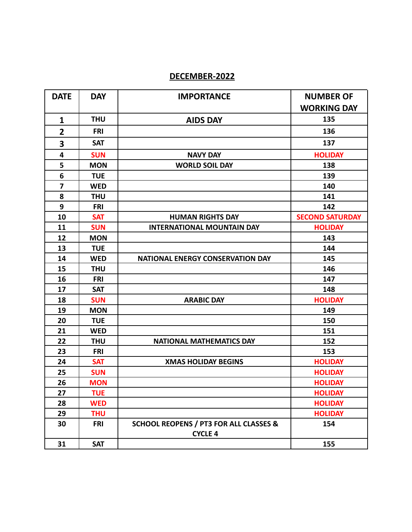#### **DECEMBER-2022**

| <b>DATE</b>             | <b>DAY</b> | <b>IMPORTANCE</b>                                                   | <b>NUMBER OF</b>       |
|-------------------------|------------|---------------------------------------------------------------------|------------------------|
|                         |            |                                                                     | <b>WORKING DAY</b>     |
| $\mathbf{1}$            | <b>THU</b> | <b>AIDS DAY</b>                                                     | 135                    |
| $\overline{2}$          | <b>FRI</b> |                                                                     | 136                    |
| 3                       | <b>SAT</b> |                                                                     | 137                    |
| 4                       | <b>SUN</b> | <b>NAVY DAY</b>                                                     | <b>HOLIDAY</b>         |
| 5                       | <b>MON</b> | <b>WORLD SOIL DAY</b>                                               | 138                    |
| 6                       | <b>TUE</b> |                                                                     | 139                    |
| $\overline{\mathbf{z}}$ | <b>WED</b> |                                                                     | 140                    |
| 8                       | <b>THU</b> |                                                                     | 141                    |
| 9                       | <b>FRI</b> |                                                                     | 142                    |
| 10                      | <b>SAT</b> | <b>HUMAN RIGHTS DAY</b>                                             | <b>SECOND SATURDAY</b> |
| 11                      | <b>SUN</b> | <b>INTERNATIONAL MOUNTAIN DAY</b>                                   | <b>HOLIDAY</b>         |
| 12                      | <b>MON</b> |                                                                     | 143                    |
| 13                      | <b>TUE</b> |                                                                     | 144                    |
| 14                      | <b>WED</b> | NATIONAL ENERGY CONSERVATION DAY                                    | 145                    |
| 15                      | <b>THU</b> |                                                                     | 146                    |
| 16                      | <b>FRI</b> |                                                                     | 147                    |
| 17                      | <b>SAT</b> |                                                                     | 148                    |
| 18                      | <b>SUN</b> | <b>ARABIC DAY</b>                                                   | <b>HOLIDAY</b>         |
| 19                      | <b>MON</b> |                                                                     | 149                    |
| 20                      | <b>TUE</b> |                                                                     | 150                    |
| 21                      | <b>WED</b> |                                                                     | 151                    |
| 22                      | <b>THU</b> | <b>NATIONAL MATHEMATICS DAY</b>                                     | 152                    |
| 23                      | <b>FRI</b> |                                                                     | 153                    |
| 24                      | <b>SAT</b> | <b>XMAS HOLIDAY BEGINS</b>                                          | <b>HOLIDAY</b>         |
| 25                      | <b>SUN</b> |                                                                     | <b>HOLIDAY</b>         |
| 26                      | <b>MON</b> |                                                                     | <b>HOLIDAY</b>         |
| 27                      | <b>TUE</b> |                                                                     | <b>HOLIDAY</b>         |
| 28                      | <b>WED</b> |                                                                     | <b>HOLIDAY</b>         |
| 29                      | <b>THU</b> |                                                                     | <b>HOLIDAY</b>         |
| 30                      | <b>FRI</b> | <b>SCHOOL REOPENS / PT3 FOR ALL CLASSES &amp;</b><br><b>CYCLE 4</b> | 154                    |
| 31                      | <b>SAT</b> |                                                                     | 155                    |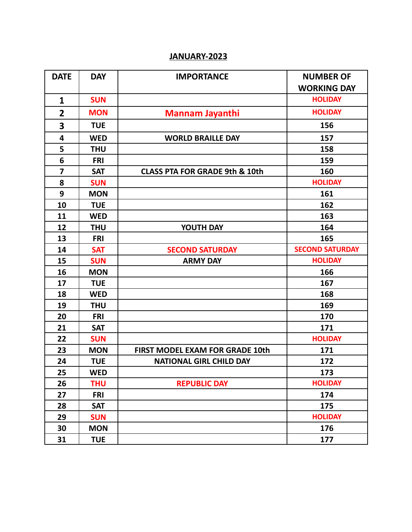## **JANUARY-2023**

| <b>DATE</b>             | <b>DAY</b> | <b>IMPORTANCE</b>                         | <b>NUMBER OF</b>       |
|-------------------------|------------|-------------------------------------------|------------------------|
|                         |            |                                           | <b>WORKING DAY</b>     |
| $\mathbf{1}$            | <b>SUN</b> |                                           | <b>HOLIDAY</b>         |
| $\overline{2}$          | <b>MON</b> | <b>Mannam Jayanthi</b>                    | <b>HOLIDAY</b>         |
| 3                       | <b>TUE</b> |                                           | 156                    |
| $\overline{\mathbf{4}}$ | <b>WED</b> | <b>WORLD BRAILLE DAY</b>                  | 157                    |
| 5                       | <b>THU</b> |                                           | 158                    |
| 6                       | <b>FRI</b> |                                           | 159                    |
| $\overline{\mathbf{z}}$ | <b>SAT</b> | <b>CLASS PTA FOR GRADE 9th &amp; 10th</b> | 160                    |
| 8                       | <b>SUN</b> |                                           | <b>HOLIDAY</b>         |
| 9                       | <b>MON</b> |                                           | 161                    |
| 10                      | <b>TUE</b> |                                           | 162                    |
| 11                      | <b>WED</b> |                                           | 163                    |
| 12                      | <b>THU</b> | YOUTH DAY                                 | 164                    |
| 13                      | <b>FRI</b> |                                           | 165                    |
| 14                      | <b>SAT</b> | <b>SECOND SATURDAY</b>                    | <b>SECOND SATURDAY</b> |
| 15                      | <b>SUN</b> | <b>ARMY DAY</b>                           | <b>HOLIDAY</b>         |
| 16                      | <b>MON</b> |                                           | 166                    |
| 17                      | <b>TUE</b> |                                           | 167                    |
| 18                      | <b>WED</b> |                                           | 168                    |
| 19                      | <b>THU</b> |                                           | 169                    |
| 20                      | <b>FRI</b> |                                           | 170                    |
| 21                      | <b>SAT</b> |                                           | 171                    |
| 22                      | <b>SUN</b> |                                           | <b>HOLIDAY</b>         |
| 23                      | <b>MON</b> | <b>FIRST MODEL EXAM FOR GRADE 10th</b>    | 171                    |
| 24                      | <b>TUE</b> | <b>NATIONAL GIRL CHILD DAY</b>            | 172                    |
| 25                      | <b>WED</b> |                                           | 173                    |
| 26                      | <b>THU</b> | <b>REPUBLIC DAY</b>                       | <b>HOLIDAY</b>         |
| 27                      | <b>FRI</b> |                                           | 174                    |
| 28                      | <b>SAT</b> |                                           | 175                    |
| 29                      | <b>SUN</b> |                                           | <b>HOLIDAY</b>         |
| 30                      | <b>MON</b> |                                           | 176                    |
| 31                      | <b>TUE</b> |                                           | 177                    |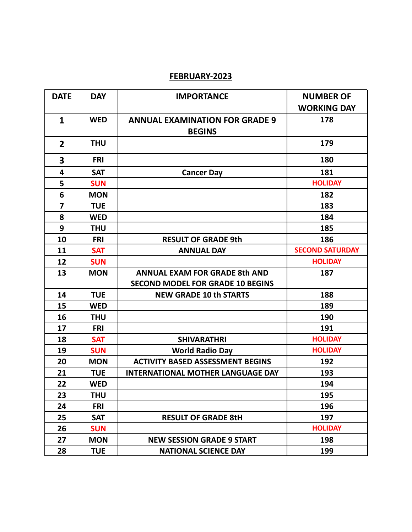#### **FEBRUARY-2023**

| <b>DATE</b>             | <b>DAY</b> | <b>IMPORTANCE</b>                        | <b>NUMBER OF</b>       |
|-------------------------|------------|------------------------------------------|------------------------|
|                         |            |                                          | <b>WORKING DAY</b>     |
| 1                       | <b>WED</b> | <b>ANNUAL EXAMINATION FOR GRADE 9</b>    | 178                    |
|                         |            | <b>BEGINS</b>                            |                        |
| $\overline{2}$          | <b>THU</b> |                                          | 179                    |
| 3                       | <b>FRI</b> |                                          | 180                    |
| 4                       | <b>SAT</b> | <b>Cancer Day</b>                        | 181                    |
| 5                       | <b>SUN</b> |                                          | <b>HOLIDAY</b>         |
| 6                       | <b>MON</b> |                                          | 182                    |
| $\overline{\mathbf{z}}$ | <b>TUE</b> |                                          | 183                    |
| 8                       | <b>WED</b> |                                          | 184                    |
| 9                       | <b>THU</b> |                                          | 185                    |
| 10                      | <b>FRI</b> | <b>RESULT OF GRADE 9th</b>               | 186                    |
| 11                      | <b>SAT</b> | <b>ANNUAL DAY</b>                        | <b>SECOND SATURDAY</b> |
| 12                      | <b>SUN</b> |                                          | <b>HOLIDAY</b>         |
| 13                      | <b>MON</b> | <b>ANNUAL EXAM FOR GRADE 8th AND</b>     | 187                    |
|                         |            | <b>SECOND MODEL FOR GRADE 10 BEGINS</b>  |                        |
| 14                      | <b>TUE</b> | <b>NEW GRADE 10 th STARTS</b>            | 188                    |
| 15                      | <b>WED</b> |                                          | 189                    |
| 16                      | <b>THU</b> |                                          | 190                    |
| 17                      | <b>FRI</b> |                                          | 191                    |
| 18                      | <b>SAT</b> | <b>SHIVARATHRI</b>                       | <b>HOLIDAY</b>         |
| 19                      | <b>SUN</b> | <b>World Radio Day</b>                   | <b>HOLIDAY</b>         |
| 20                      | <b>MON</b> | <b>ACTIVITY BASED ASSESSMENT BEGINS</b>  | 192                    |
| 21                      | <b>TUE</b> | <b>INTERNATIONAL MOTHER LANGUAGE DAY</b> | 193                    |
| 22                      | <b>WED</b> |                                          | 194                    |
| 23                      | <b>THU</b> |                                          | 195                    |
| 24                      | <b>FRI</b> |                                          | 196                    |
| 25                      | <b>SAT</b> | <b>RESULT OF GRADE 8tH</b>               | 197                    |
| 26                      | <b>SUN</b> |                                          | <b>HOLIDAY</b>         |
| 27                      | <b>MON</b> | <b>NEW SESSION GRADE 9 START</b>         | 198                    |
| 28                      | <b>TUE</b> | <b>NATIONAL SCIENCE DAY</b>              | 199                    |